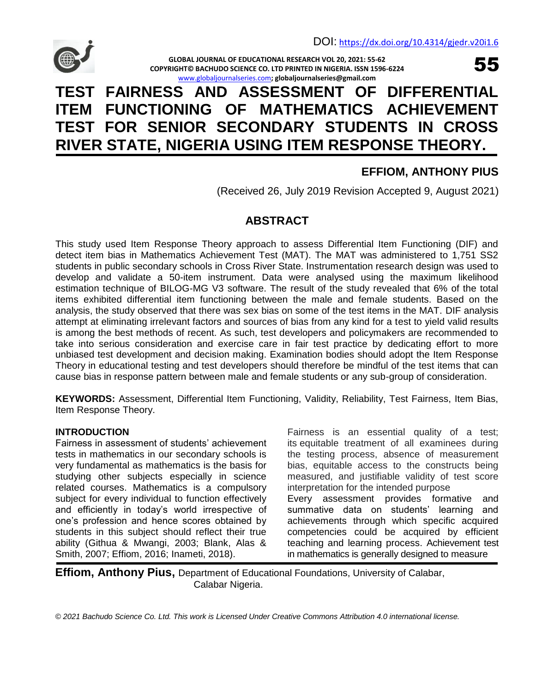

**GLOBAL JOURNAL OF EDUCATIONAL RESEARCH VOL 20, 2021: 55-62 COPYRIGHT© BACHUDO SCIENCE CO. LTD PRINTED IN NIGERIA. ISSN 1596-6224** [www.globaljournalseries.com](http://www.globaljournalseries.com/)**; globaljournalseries@gmail.com**

# **TEST FAIRNESS AND ASSESSMENT OF DIFFERENTIAL ITEM FUNCTIONING OF MATHEMATICS ACHIEVEMENT TEST FOR SENIOR SECONDARY STUDENTS IN CROSS RIVER STATE, NIGERIA USING ITEM RESPONSE THEORY.**

## **EFFIOM, ANTHONY PIUS**

55

(Received 26, July 2019 Revision Accepted 9, August 2021)

## **ABSTRACT**

This study used Item Response Theory approach to assess Differential Item Functioning (DIF) and detect item bias in Mathematics Achievement Test (MAT). The MAT was administered to 1,751 SS2 students in public secondary schools in Cross River State. Instrumentation research design was used to develop and validate a 50-item instrument. Data were analysed using the maximum likelihood estimation technique of BILOG-MG V3 software. The result of the study revealed that 6% of the total items exhibited differential item functioning between the male and female students. Based on the analysis, the study observed that there was sex bias on some of the test items in the MAT. DIF analysis attempt at eliminating irrelevant factors and sources of bias from any kind for a test to yield valid results is among the best methods of recent. As such, test developers and policymakers are recommended to take into serious consideration and exercise care in fair test practice by dedicating effort to more unbiased test development and decision making. Examination bodies should adopt the Item Response Theory in educational testing and test developers should therefore be mindful of the test items that can cause bias in response pattern between male and female students or any sub-group of consideration.

**KEYWORDS:** Assessment, Differential Item Functioning, Validity, Reliability, Test Fairness, Item Bias, Item Response Theory.

#### **INTRODUCTION**

Fairness in assessment of students' achievement tests in mathematics in our secondary schools is very fundamental as mathematics is the basis for studying other subjects especially in science related courses. Mathematics is a compulsory subject for every individual to function effectively and efficiently in today's world irrespective of one's profession and hence scores obtained by students in this subject should reflect their true ability (Githua & Mwangi, 2003; Blank, Alas & Smith, 2007; Effiom, 2016; Inameti, 2018).

Fairness is an essential quality of a test; its equitable treatment of all examinees during the testing process, absence of measurement bias, equitable access to the constructs being measured, and justifiable validity of test score interpretation for the intended purpose Every assessment provides formative and summative data on students' learning and achievements through which specific acquired competencies could be acquired by efficient teaching and learning process. Achievement test in mathematics is generally designed to measure

**Effiom, Anthony Pius,** Department of Educational Foundations, University of Calabar, Calabar Nigeria.

*© 2021 Bachudo Science Co. Ltd. This work is Licensed Under Creative Commons Attribution 4.0 international license.*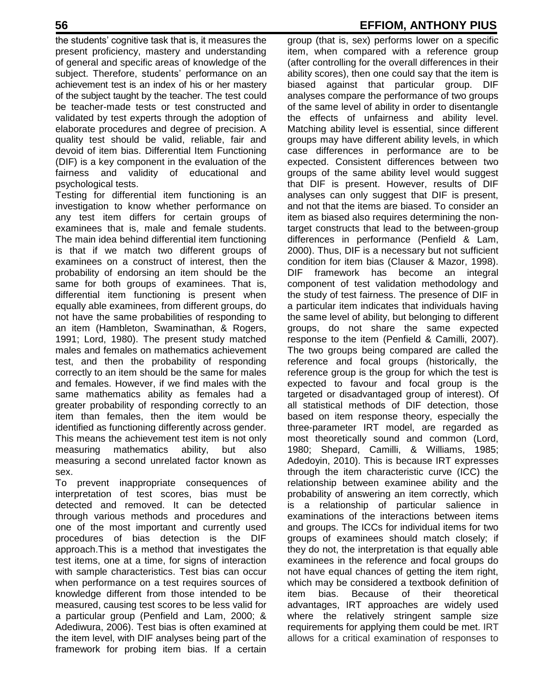the students' cognitive task that is, it measures the present proficiency, mastery and understanding of general and specific areas of knowledge of the subject. Therefore, students' performance on an achievement test is an index of his or her mastery of the subject taught by the teacher. The test could be teacher-made tests or test constructed and validated by test experts through the adoption of elaborate procedures and degree of precision. A quality test should be valid, reliable, fair and devoid of item bias. Differential Item Functioning (DIF) is a key component in the evaluation of the fairness and validity of educational and psychological tests.

Testing for differential item functioning is an investigation to know whether performance on any test item differs for certain groups of examinees that is, male and female students. The main idea behind differential item functioning is that if we match two different groups of examinees on a construct of interest, then the probability of endorsing an item should be the same for both groups of examinees. That is, differential item functioning is present when equally able examinees, from different groups, do not have the same probabilities of responding to an item (Hambleton, Swaminathan, & Rogers, 1991; Lord, 1980). The present study matched males and females on mathematics achievement test, and then the probability of responding correctly to an item should be the same for males and females. However, if we find males with the same mathematics ability as females had a greater probability of responding correctly to an item than females, then the item would be identified as functioning differently across gender. This means the achievement test item is not only measuring mathematics ability, but also measuring a second unrelated factor known as sex.

To prevent inappropriate consequences of interpretation of test scores, bias must be detected and removed. It can be detected through various methods and procedures and one of the most important and currently used procedures of bias detection is the DIF approach.This is a method that investigates the test items, one at a time, for signs of interaction with sample characteristics. Test bias can occur when performance on a test requires sources of knowledge different from those intended to be measured, causing test scores to be less valid for a particular group (Penfield and Lam, 2000; & Adediwura, 2006). Test bias is often examined at the item level, with DIF analyses being part of the framework for probing item bias. If a certain

## **56 EFFIOM, ANTHONY PIUS**

group (that is, sex) performs lower on a specific item, when compared with a reference group (after controlling for the overall differences in their ability scores), then one could say that the item is biased against that particular group. DIF analyses compare the performance of two groups of the same level of ability in order to disentangle the effects of unfairness and ability level. Matching ability level is essential, since different groups may have different ability levels, in which case differences in performance are to be expected. Consistent differences between two groups of the same ability level would suggest that DIF is present. However, results of DIF analyses can only suggest that DIF is present, and not that the items are biased. To consider an item as biased also requires determining the nontarget constructs that lead to the between-group differences in performance (Penfield & Lam, 2000). Thus, DIF is a necessary but not sufficient condition for item bias (Clauser & Mazor, 1998). DIF framework has become an integral component of test validation methodology and the study of test fairness. The presence of DIF in a particular item indicates that individuals having the same level of ability, but belonging to different groups, do not share the same expected response to the item (Penfield & Camilli, 2007). The two groups being compared are called the reference and focal groups (historically, the reference group is the group for which the test is expected to favour and focal group is the targeted or disadvantaged group of interest). Of all statistical methods of DIF detection, those based on item response theory, especially the three-parameter IRT model, are regarded as most theoretically sound and common (Lord, 1980; Shepard, Camilli, & Williams, 1985; Adedoyin, 2010). This is because IRT expresses through the item characteristic curve (ICC) the relationship between examinee ability and the probability of answering an item correctly, which is a relationship of particular salience in examinations of the interactions between items and groups. The ICCs for individual items for two groups of examinees should match closely; if they do not, the interpretation is that equally able examinees in the reference and focal groups do not have equal chances of getting the item right, which may be considered a textbook definition of item bias. Because of their theoretical advantages, IRT approaches are widely used where the relatively stringent sample size requirements for applying them could be met. IRT allows for a critical examination of responses to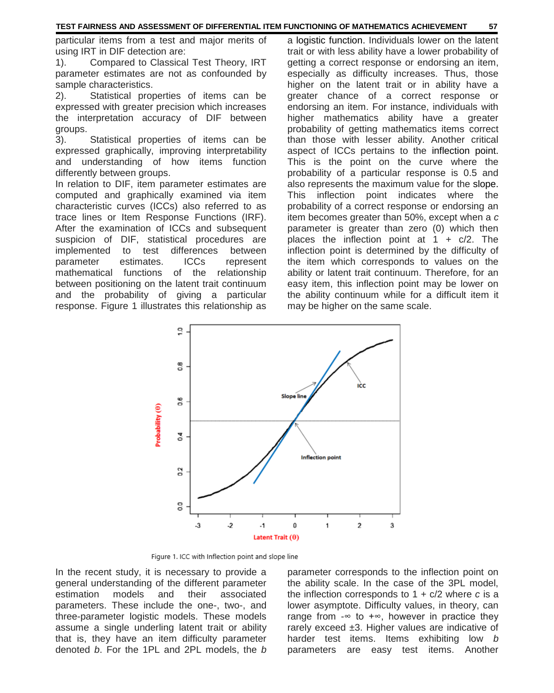particular items from a test and major merits of using IRT in DIF detection are:

1). Compared to Classical Test Theory, IRT parameter estimates are not as confounded by sample characteristics.

2). Statistical properties of items can be expressed with greater precision which increases the interpretation accuracy of DIF between groups.

3). Statistical properties of items can be expressed graphically, improving interpretability and understanding of how items function differently between groups.

In relation to DIF, item parameter estimates are computed and graphically examined via item characteristic curves (ICCs) also referred to as trace lines or Item Response Functions (IRF). After the examination of ICCs and subsequent suspicion of DIF, statistical procedures are implemented to test differences between parameter estimates. ICCs represent mathematical functions of the relationship between positioning on the latent trait continuum and the probability of giving a particular response. Figure 1 illustrates this relationship as a logistic function. Individuals lower on the latent trait or with less ability have a lower probability of getting a correct response or endorsing an item, especially as difficulty increases. Thus, those higher on the latent trait or in ability have a greater chance of a correct response or endorsing an item. For instance, individuals with higher mathematics ability have a greater probability of getting mathematics items correct than those with lesser ability. Another critical aspect of ICCs pertains to the inflection point. This is the point on the curve where the probability of a particular response is 0.5 and also represents the maximum value for the slope. This inflection point indicates where the probability of a correct response or endorsing an item becomes greater than 50%, except when a *c* parameter is greater than zero (0) which then places the inflection point at  $1 + c/2$ . The inflection point is determined by the difficulty of the item which corresponds to values on the ability or latent trait continuum. Therefore, for an easy item, this inflection point may be lower on the ability continuum while for a difficult item it may be higher on the same scale.



Figure 1. ICC with Inflection point and slope line

In the recent study, it is necessary to provide a general understanding of the different parameter estimation models and their associated parameters. These include the one-, two-, and three-parameter logistic models. These models assume a single underling latent trait or ability that is, they have an item difficulty parameter denoted *b*. For the 1PL and 2PL models, the *b*

parameter corresponds to the inflection point on the ability scale. In the case of the 3PL model, the inflection corresponds to 1 + c/2 where *c* is a lower asymptote. Difficulty values, in theory, can range from  $-\infty$  to  $+\infty$ , however in practice they rarely exceed  $\pm 3$ . Higher values are indicative of harder test items. Items exhibiting low *b* parameters are easy test items. Another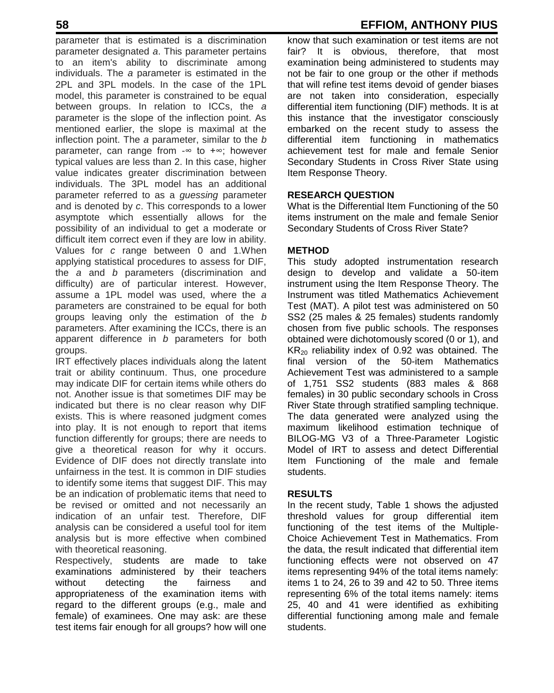parameter that is estimated is a discrimination parameter designated *a*. This parameter pertains to an item's ability to discriminate among individuals. The *a* parameter is estimated in the 2PL and 3PL models. In the case of the 1PL model, this parameter is constrained to be equal between groups. In relation to ICCs, the *a* parameter is the slope of the inflection point. As mentioned earlier, the slope is maximal at the inflection point. The *a* parameter, similar to the *b* parameter, can range from -∞ to +∞; however typical values are less than 2. In this case, higher value indicates greater discrimination between individuals. The 3PL model has an additional parameter referred to as a *guessing* parameter and is denoted by *c*. This corresponds to a lower asymptote which essentially allows for the possibility of an individual to get a moderate or difficult item correct even if they are low in ability. Values for *c* range between 0 and 1.When applying statistical procedures to assess for DIF, the *a* and *b* parameters (discrimination and difficulty) are of particular interest. However, assume a 1PL model was used, where the *a* parameters are constrained to be equal for both groups leaving only the estimation of the *b* parameters. After examining the ICCs, there is an apparent difference in *b* parameters for both groups.

IRT effectively places individuals along the latent trait or ability continuum. Thus, one procedure may indicate DIF for certain items while others do not. Another issue is that sometimes DIF may be indicated but there is no clear reason why DIF exists. This is where reasoned judgment comes into play. It is not enough to report that items function differently for groups; there are needs to give a theoretical reason for why it occurs. Evidence of DIF does not directly translate into unfairness in the test. It is common in DIF studies to identify some items that suggest DIF. This may be an indication of problematic items that need to be revised or omitted and not necessarily an indication of an unfair test. Therefore, DIF analysis can be considered a useful tool for item analysis but is more effective when combined with theoretical reasoning.

Respectively, students are made to take examinations administered by their teachers without detecting the fairness and appropriateness of the examination items with regard to the different groups (e.g., male and female) of examinees. One may ask: are these test items fair enough for all groups? how will one

## **58 EFFIOM, ANTHONY PIUS**

know that such examination or test items are not fair? It is obvious, therefore, that most examination being administered to students may not be fair to one group or the other if methods that will refine test items devoid of gender biases are not taken into consideration, especially differential item functioning (DIF) methods. It is at this instance that the investigator consciously embarked on the recent study to assess the differential item functioning in mathematics achievement test for male and female Senior Secondary Students in Cross River State using Item Response Theory.

#### **RESEARCH QUESTION**

What is the Differential Item Functioning of the 50 items instrument on the male and female Senior Secondary Students of Cross River State?

#### **METHOD**

This study adopted instrumentation research design to develop and validate a 50-item instrument using the Item Response Theory. The Instrument was titled Mathematics Achievement Test (MAT). A pilot test was administered on 50 SS2 (25 males & 25 females) students randomly chosen from five public schools. The responses obtained were dichotomously scored (0 or 1), and  $KR<sub>20</sub>$  reliability index of 0.92 was obtained. The final version of the 50-item Mathematics Achievement Test was administered to a sample of 1,751 SS2 students (883 males & 868 females) in 30 public secondary schools in Cross River State through stratified sampling technique. The data generated were analyzed using the maximum likelihood estimation technique of BILOG-MG V3 of a Three-Parameter Logistic Model of IRT to assess and detect Differential Item Functioning of the male and female students.

#### **RESULTS**

In the recent study, Table 1 shows the adjusted threshold values for group differential item functioning of the test items of the Multiple-Choice Achievement Test in Mathematics. From the data, the result indicated that differential item functioning effects were not observed on 47 items representing 94% of the total items namely: items 1 to 24, 26 to 39 and 42 to 50. Three items representing 6% of the total items namely: items 25, 40 and 41 were identified as exhibiting differential functioning among male and female students.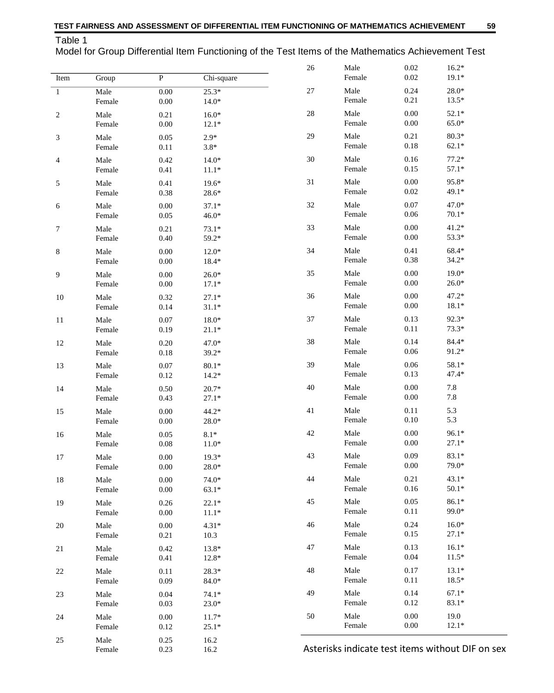Table 1

Model for Group Differential Item Functioning of the Test Items of the Mathematics Achievement Test

| Item           | Group                       | ${\bf P}$            | Chi-square         | 26     | Male<br>Female                                   | 0.02<br>$0.02\,$     | $16.2*$<br>$19.1*$ |  |
|----------------|-----------------------------|----------------------|--------------------|--------|--------------------------------------------------|----------------------|--------------------|--|
| $\mathbf{1}$   | Male<br>Female              | $0.00\,$<br>$0.00\,$ | $25.3*$<br>$14.0*$ | $27\,$ | Male<br>Female                                   | 0.24<br>0.21         | $28.0*$<br>$13.5*$ |  |
| $\overline{c}$ | Male<br>Female              | 0.21<br>0.00         | $16.0*$<br>$12.1*$ | $28\,$ | Male<br>Female                                   | 0.00<br>$0.00\,$     | $52.1*$<br>65.0*   |  |
| 3              | Male<br>Female              | 0.05<br>0.11         | $2.9*$<br>$3.8*$   | 29     | Male<br>Female                                   | 0.21<br>0.18         | $80.3*$<br>$62.1*$ |  |
| 4              | Male<br>Female              | 0.42<br>0.41         | $14.0*$<br>$11.1*$ | 30     | Male<br>Female                                   | 0.16<br>0.15         | $77.2*$<br>$57.1*$ |  |
| 5              | Male<br>Female              | 0.41<br>0.38         | $19.6*$<br>28.6*   | 31     | Male<br>Female                                   | 0.00<br>$0.02\,$     | 95.8*<br>49.1*     |  |
| 6              | Male<br>Female              | 0.00<br>$0.05\,$     | $37.1*$<br>$46.0*$ | 32     | Male<br>Female                                   | 0.07<br>$0.06\,$     | $47.0*$<br>$70.1*$ |  |
| 7              | Male<br>Female              | 0.21<br>0.40         | $73.1*$<br>59.2*   | 33     | Male<br>Female                                   | 0.00<br>$0.00\,$     | $41.2*$<br>53.3*   |  |
| 8              | Male<br>Female              | 0.00<br>$0.00\,$     | $12.0*$<br>18.4*   | 34     | Male<br>Female                                   | 0.41<br>0.38         | 68.4*<br>$34.2*$   |  |
| 9              | Male<br>Female              | 0.00<br>$0.00\,$     | $26.0*$<br>$17.1*$ | 35     | Male<br>Female                                   | 0.00<br>$0.00\,$     | $19.0*$<br>$26.0*$ |  |
| 10             | Male<br>Female              | 0.32<br>0.14         | $27.1*$<br>$31.1*$ | 36     | Male<br>Female                                   | 0.00<br>$0.00\,$     | $47.2*$<br>$18.1*$ |  |
| 11             | Male<br>$\mbox{\sf Female}$ | 0.07<br>0.19         | 18.0*<br>$21.1*$   | 37     | Male<br>Female                                   | 0.13<br>0.11         | 92.3*<br>$73.3*$   |  |
| 12             | Male<br>Female              | 0.20<br>0.18         | 47.0*<br>39.2*     | 38     | Male<br>Female                                   | 0.14<br>$0.06\,$     | 84.4*<br>91.2*     |  |
| 13             | Male<br>Female              | 0.07<br>0.12         | $80.1*$<br>$14.2*$ | 39     | Male<br>Female                                   | 0.06<br>0.13         | 58.1*<br>47.4*     |  |
| 14             | Male<br>Female              | 0.50<br>0.43         | $20.7*$<br>$27.1*$ | $40\,$ | Male<br>Female                                   | 0.00<br>$0.00\,$     | 7.8<br>7.8         |  |
| 15             | Male<br>Female              | 0.00<br>0.00         | $44.2*$<br>28.0*   | 41     | Male<br>Female                                   | 0.11<br>0.10         | 5.3<br>5.3         |  |
| 16             | Male<br>Female              | 0.05<br>$0.08\,$     | $8.1*$<br>$11.0*$  | 42     | Male<br>Female                                   | $0.00\,$<br>$0.00\,$ | 96.1*<br>$27.1*$   |  |
| 17             | Male<br>Female              | 0.00<br>0.00         | $19.3*$<br>$28.0*$ | 43     | Male<br>Female                                   | 0.09<br>0.00         | $83.1*$<br>79.0*   |  |
| 18             | Male<br>Female              | 0.00<br>$0.00\,$     | 74.0*<br>$63.1*$   | 44     | Male<br>Female                                   | 0.21<br>0.16         | $43.1*$<br>$50.1*$ |  |
| 19             | Male<br>Female              | 0.26<br>$0.00\,$     | $22.1*$<br>$11.1*$ | 45     | Male<br>Female                                   | 0.05<br>0.11         | 86.1*<br>99.0*     |  |
| 20             | Male<br>Female              | 0.00<br>0.21         | $4.31*$<br>10.3    | 46     | Male<br>Female                                   | 0.24<br>0.15         | $16.0*$<br>$27.1*$ |  |
| 21             | Male<br>Female              | 0.42<br>0.41         | 13.8*<br>12.8*     | 47     | Male<br>Female                                   | 0.13<br>0.04         | $16.1*$<br>$11.5*$ |  |
| 22             | Male<br>Female              | 0.11<br>0.09         | $28.3*$<br>84.0*   | 48     | Male<br>Female                                   | 0.17<br>0.11         | $13.1*$<br>$18.5*$ |  |
| 23             | Male<br>Female              | 0.04<br>0.03         | $74.1*$<br>$23.0*$ | 49     | Male<br>Female                                   | 0.14<br>0.12         | $67.1*$<br>83.1*   |  |
| 24             | Male<br>Female              | 0.00<br>0.12         | $11.7*$<br>$25.1*$ | 50     | Male<br>Female                                   | 0.00<br>0.00         | 19.0<br>$12.1*$    |  |
| 25             | Male<br>Female              | 0.25<br>0.23         | 16.2<br>16.2       |        | Asterisks indicate test items without DIF on sex |                      |                    |  |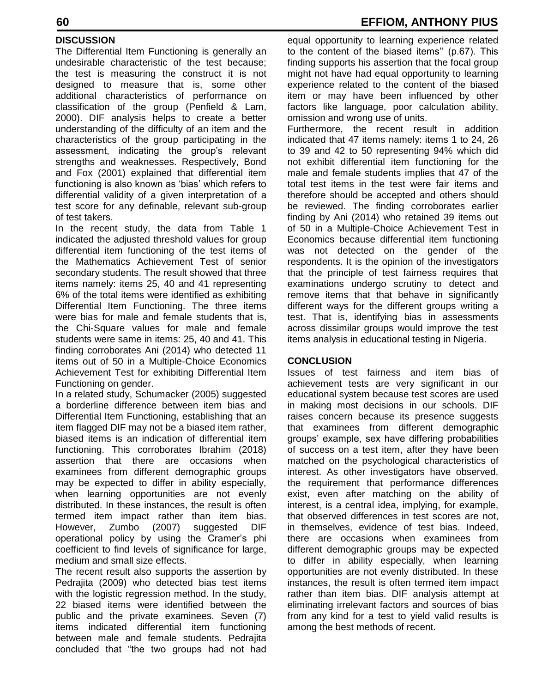### **DISCUSSION**

The Differential Item Functioning is generally an undesirable characteristic of the test because; the test is measuring the construct it is not designed to measure that is, some other additional characteristics of performance on classification of the group (Penfield & Lam, 2000). DIF analysis helps to create a better understanding of the difficulty of an item and the characteristics of the group participating in the assessment, indicating the group's relevant strengths and weaknesses. Respectively, Bond and Fox (2001) explained that differential item functioning is also known as 'bias' which refers to differential validity of a given interpretation of a test score for any definable, relevant sub-group of test takers.

In the recent study, the data from Table 1 indicated the adjusted threshold values for group differential item functioning of the test items of the Mathematics Achievement Test of senior secondary students. The result showed that three items namely: items 25, 40 and 41 representing 6% of the total items were identified as exhibiting Differential Item Functioning. The three items were bias for male and female students that is, the Chi-Square values for male and female students were same in items: 25, 40 and 41. This finding corroborates Ani (2014) who detected 11 items out of 50 in a Multiple-Choice Economics Achievement Test for exhibiting Differential Item Functioning on gender.

In a related study, Schumacker (2005) suggested a borderline difference between item bias and Differential Item Functioning, establishing that an item flagged DIF may not be a biased item rather, biased items is an indication of differential item functioning. This corroborates Ibrahim (2018) assertion that there are occasions when examinees from different demographic groups may be expected to differ in ability especially, when learning opportunities are not evenly distributed. In these instances, the result is often termed item impact rather than item bias. However, Zumbo (2007) suggested DIF operational policy by using the Cramer's phi coefficient to find levels of significance for large, medium and small size effects.

The recent result also supports the assertion by Pedrajita (2009) who detected bias test items with the logistic regression method. In the study, 22 biased items were identified between the public and the private examinees. Seven (7) items indicated differential item functioning between male and female students. Pedrajita concluded that "the two groups had not had

equal opportunity to learning experience related to the content of the biased items'' (p.67). This finding supports his assertion that the focal group might not have had equal opportunity to learning experience related to the content of the biased item or may have been influenced by other factors like language, poor calculation ability, omission and wrong use of units.

Furthermore, the recent result in addition indicated that 47 items namely: items 1 to 24, 26 to 39 and 42 to 50 representing 94% which did not exhibit differential item functioning for the male and female students implies that 47 of the total test items in the test were fair items and therefore should be accepted and others should be reviewed. The finding corroborates earlier finding by Ani (2014) who retained 39 items out of 50 in a Multiple-Choice Achievement Test in Economics because differential item functioning was not detected on the gender of the respondents. It is the opinion of the investigators that the principle of test fairness requires that examinations undergo scrutiny to detect and remove items that that behave in significantly different ways for the different groups writing a test. That is, identifying bias in assessments across dissimilar groups would improve the test items analysis in educational testing in Nigeria.

#### **CONCLUSION**

Issues of test fairness and item bias of achievement tests are very significant in our educational system because test scores are used in making most decisions in our schools. DIF raises concern because its presence suggests that examinees from different demographic groups' example, sex have differing probabilities of success on a test item, after they have been matched on the psychological characteristics of interest. As other investigators have observed, the requirement that performance differences exist, even after matching on the ability of interest, is a central idea, implying, for example, that observed differences in test scores are not, in themselves, evidence of test bias. Indeed, there are occasions when examinees from different demographic groups may be expected to differ in ability especially, when learning opportunities are not evenly distributed. In these instances, the result is often termed item impact rather than item bias. DIF analysis attempt at eliminating irrelevant factors and sources of bias from any kind for a test to yield valid results is among the best methods of recent.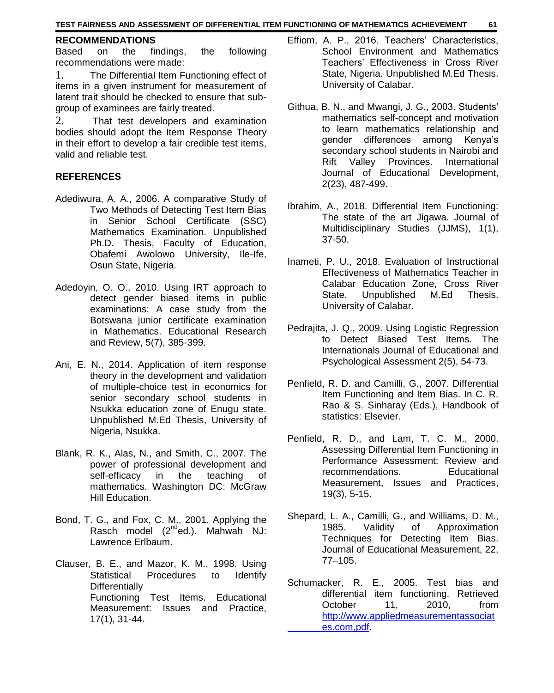#### **RECOMMENDATIONS**

Based on the findings, the following recommendations were made:

1. The Differential Item Functioning effect of items in a given instrument for measurement of latent trait should be checked to ensure that subgroup of examinees are fairly treated.

2. That test developers and examination bodies should adopt the Item Response Theory in their effort to develop a fair credible test items, valid and reliable test.

#### **REFERENCES**

- Adediwura, A. A., 2006. A comparative Study of Two Methods of Detecting Test Item Bias in Senior School Certificate (SSC) Mathematics Examination. Unpublished Ph.D. Thesis, Faculty of Education, Obafemi Awolowo University, Ile-Ife, Osun State, Nigeria.
- Adedoyin, O. O., 2010. Using IRT approach to detect gender biased items in public examinations: A case study from the Botswana junior certificate examination in Mathematics. Educational Research and Review, 5(7), 385-399.
- Ani, E. N., 2014. Application of item response theory in the development and validation of multiple-choice test in economics for senior secondary school students in Nsukka education zone of Enugu state. Unpublished M.Ed Thesis, University of Nigeria, Nsukka.
- Blank, R. K., Alas, N., and Smith, C., 2007. The power of professional development and self-efficacy in the teaching of mathematics. Washington DC: McGraw Hill Education.
- Bond, T. G., and Fox, C. M., 2001. Applying the Rasch model  $(2^{nd}$ ed.). Mahwah NJ: Lawrence Erlbaum.
- Clauser, B. E., and Mazor, K. M., 1998. Using Statistical Procedures to Identify **Differentially** Functioning Test Items. Educational Measurement: Issues and Practice, 17(1), 31-44.
- Effiom, A. P., 2016. Teachers' Characteristics, School Environment and Mathematics Teachers' Effectiveness in Cross River State, Nigeria. Unpublished M.Ed Thesis. University of Calabar.
- Githua, B. N., and Mwangi, J. G., 2003. Students' mathematics self-concept and motivation to learn mathematics relationship and gender differences among Kenya's secondary school students in Nairobi and Rift Valley Provinces. International Journal of Educational Development, 2(23), 487-499.
- Ibrahim, A., 2018. Differential Item Functioning: The state of the art Jigawa. Journal of Multidisciplinary Studies (JJMS), 1(1), 37-50.
- Inameti, P. U., 2018. Evaluation of Instructional Effectiveness of Mathematics Teacher in Calabar Education Zone, Cross River State. Unpublished M.Ed Thesis. University of Calabar.
- Pedrajita, J. Q., 2009. Using Logistic Regression to Detect Biased Test Items. The Internationals Journal of Educational and Psychological Assessment 2(5), 54-73.
- Penfield, R. D. and Camilli, G., 2007. Differential Item Functioning and Item Bias. In C. R. Rao & S. Sinharay (Eds.), Handbook of statistics: Elsevier.
- Penfield, R. D., and Lam, T. C. M., 2000. Assessing Differential Item Functioning in Performance Assessment: Review and recommendations. Educational Measurement, Issues and Practices, 19(3), 5-15.
- Shepard, L. A., Camilli, G., and Williams, D. M., 1985. Validity of Approximation Techniques for Detecting Item Bias. Journal of Educational Measurement, 22, 77–105.
- Schumacker, R. E., 2005. Test bias and differential item functioning. Retrieved October 11, 2010, from http://www.appliedmeasurementassociat es.com,pdf.